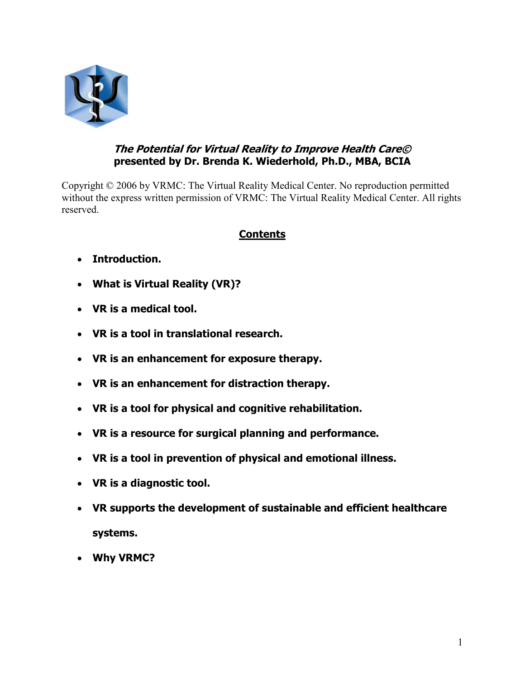

# The Potential for Virtual Reality to Improve Health Care© presented by Dr. Brenda K. Wiederhold, Ph.D., MBA, BCIA

Copyright © 2006 by VRMC: The Virtual Reality Medical Center. No reproduction permitted without the express written permission of VRMC: The Virtual Reality Medical Center. All rights reserved.

# Contents

- Introduction.
- What is Virtual Reality (VR)?
- VR is a medical tool.
- VR is a tool in translational research.
- VR is an enhancement for exposure therapy.
- VR is an enhancement for distraction therapy.
- VR is a tool for physical and cognitive rehabilitation.
- VR is a resource for surgical planning and performance.
- VR is a tool in prevention of physical and emotional illness.
- VR is a diagnostic tool.
- VR supports the development of sustainable and efficient healthcare systems.
- Why VRMC?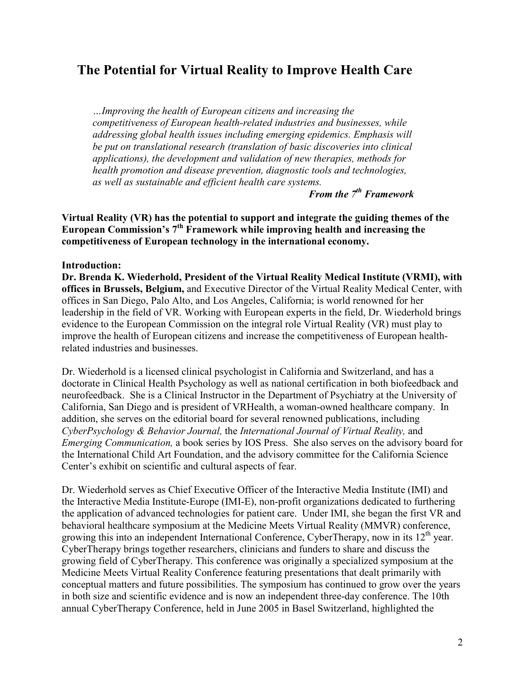# The Potential for Virtual Reality to Improve Health Care

…Improving the health of European citizens and increasing the competitiveness of European health-related industries and businesses, while addressing global health issues including emerging epidemics. Emphasis will be put on translational research (translation of basic discoveries into clinical applications), the development and validation of new therapies, methods for health promotion and disease prevention, diagnostic tools and technologies, as well as sustainable and efficient health care systems.

From the  $7<sup>th</sup>$  Framework

Virtual Reality (VR) has the potential to support and integrate the guiding themes of the European Commission's  $7<sup>th</sup>$  Framework while improving health and increasing the competitiveness of European technology in the international economy.

#### Introduction:

Dr. Brenda K. Wiederhold, President of the Virtual Reality Medical Institute (VRMI), with offices in Brussels, Belgium, and Executive Director of the Virtual Reality Medical Center, with offices in San Diego, Palo Alto, and Los Angeles, California; is world renowned for her leadership in the field of VR. Working with European experts in the field, Dr. Wiederhold brings evidence to the European Commission on the integral role Virtual Reality (VR) must play to improve the health of European citizens and increase the competitiveness of European healthrelated industries and businesses.

Dr. Wiederhold is a licensed clinical psychologist in California and Switzerland, and has a doctorate in Clinical Health Psychology as well as national certification in both biofeedback and neurofeedback. She is a Clinical Instructor in the Department of Psychiatry at the University of California, San Diego and is president of VRHealth, a woman-owned healthcare company. In addition, she serves on the editorial board for several renowned publications, including CyberPsychology & Behavior Journal, the International Journal of Virtual Reality, and Emerging Communication, a book series by IOS Press. She also serves on the advisory board for the International Child Art Foundation, and the advisory committee for the California Science Center's exhibit on scientific and cultural aspects of fear.

Dr. Wiederhold serves as Chief Executive Officer of the Interactive Media Institute (IMI) and the Interactive Media Institute-Europe (IMI-E), non-profit organizations dedicated to furthering the application of advanced technologies for patient care. Under IMI, she began the first VR and behavioral healthcare symposium at the Medicine Meets Virtual Reality (MMVR) conference, growing this into an independent International Conference, CyberTherapy, now in its  $12<sup>th</sup>$  year. CyberTherapy brings together researchers, clinicians and funders to share and discuss the growing field of CyberTherapy. This conference was originally a specialized symposium at the Medicine Meets Virtual Reality Conference featuring presentations that dealt primarily with conceptual matters and future possibilities. The symposium has continued to grow over the years in both size and scientific evidence and is now an independent three-day conference. The 10th annual CyberTherapy Conference, held in June 2005 in Basel Switzerland, highlighted the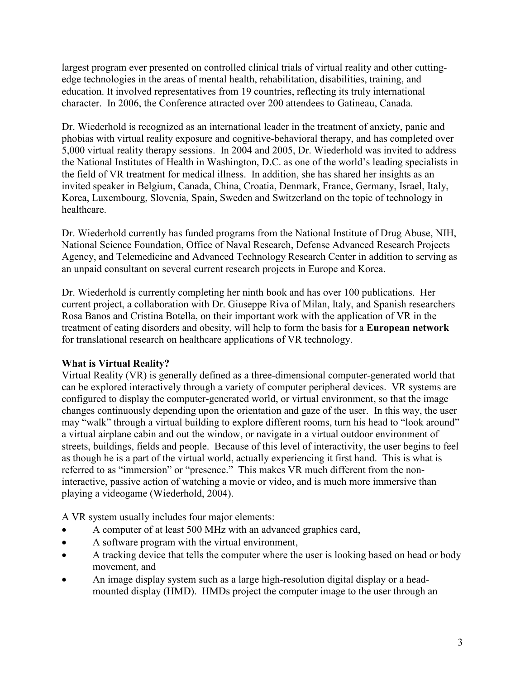largest program ever presented on controlled clinical trials of virtual reality and other cuttingedge technologies in the areas of mental health, rehabilitation, disabilities, training, and education. It involved representatives from 19 countries, reflecting its truly international character. In 2006, the Conference attracted over 200 attendees to Gatineau, Canada.

Dr. Wiederhold is recognized as an international leader in the treatment of anxiety, panic and phobias with virtual reality exposure and cognitive-behavioral therapy, and has completed over 5,000 virtual reality therapy sessions. In 2004 and 2005, Dr. Wiederhold was invited to address the National Institutes of Health in Washington, D.C. as one of the world's leading specialists in the field of VR treatment for medical illness. In addition, she has shared her insights as an invited speaker in Belgium, Canada, China, Croatia, Denmark, France, Germany, Israel, Italy, Korea, Luxembourg, Slovenia, Spain, Sweden and Switzerland on the topic of technology in healthcare.

Dr. Wiederhold currently has funded programs from the National Institute of Drug Abuse, NIH, National Science Foundation, Office of Naval Research, Defense Advanced Research Projects Agency, and Telemedicine and Advanced Technology Research Center in addition to serving as an unpaid consultant on several current research projects in Europe and Korea.

Dr. Wiederhold is currently completing her ninth book and has over 100 publications. Her current project, a collaboration with Dr. Giuseppe Riva of Milan, Italy, and Spanish researchers Rosa Banos and Cristina Botella, on their important work with the application of VR in the treatment of eating disorders and obesity, will help to form the basis for a European network for translational research on healthcare applications of VR technology.

# What is Virtual Reality?

Virtual Reality (VR) is generally defined as a three-dimensional computer-generated world that can be explored interactively through a variety of computer peripheral devices. VR systems are configured to display the computer-generated world, or virtual environment, so that the image changes continuously depending upon the orientation and gaze of the user. In this way, the user may "walk" through a virtual building to explore different rooms, turn his head to "look around" a virtual airplane cabin and out the window, or navigate in a virtual outdoor environment of streets, buildings, fields and people. Because of this level of interactivity, the user begins to feel as though he is a part of the virtual world, actually experiencing it first hand. This is what is referred to as "immersion" or "presence." This makes VR much different from the noninteractive, passive action of watching a movie or video, and is much more immersive than playing a videogame (Wiederhold, 2004).

A VR system usually includes four major elements:

- A computer of at least 500 MHz with an advanced graphics card,
- A software program with the virtual environment,
- A tracking device that tells the computer where the user is looking based on head or body movement, and
- An image display system such as a large high-resolution digital display or a headmounted display (HMD). HMDs project the computer image to the user through an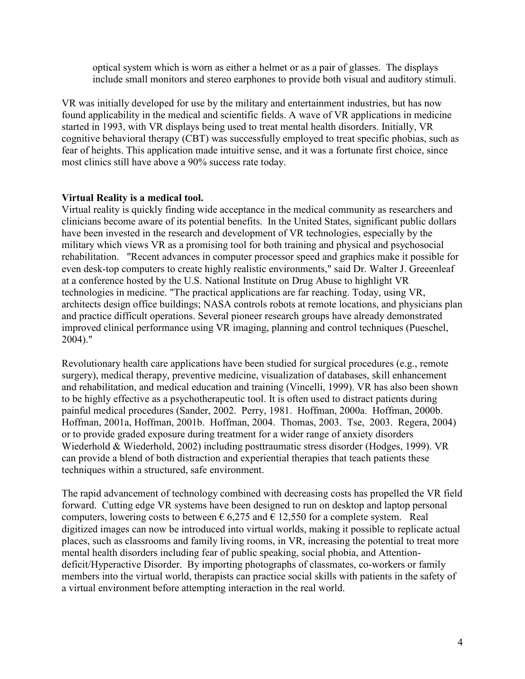optical system which is worn as either a helmet or as a pair of glasses. The displays include small monitors and stereo earphones to provide both visual and auditory stimuli.

VR was initially developed for use by the military and entertainment industries, but has now found applicability in the medical and scientific fields. A wave of VR applications in medicine started in 1993, with VR displays being used to treat mental health disorders. Initially, VR cognitive behavioral therapy (CBT) was successfully employed to treat specific phobias, such as fear of heights. This application made intuitive sense, and it was a fortunate first choice, since most clinics still have above a 90% success rate today.

#### Virtual Reality is a medical tool.

Virtual reality is quickly finding wide acceptance in the medical community as researchers and clinicians become aware of its potential benefits. In the United States, significant public dollars have been invested in the research and development of VR technologies, especially by the military which views VR as a promising tool for both training and physical and psychosocial rehabilitation. "Recent advances in computer processor speed and graphics make it possible for even desk-top computers to create highly realistic environments," said Dr. Walter J. Greeenleaf at a conference hosted by the U.S. National Institute on Drug Abuse to highlight VR technologies in medicine. "The practical applications are far reaching. Today, using VR, architects design office buildings; NASA controls robots at remote locations, and physicians plan and practice difficult operations. Several pioneer research groups have already demonstrated improved clinical performance using VR imaging, planning and control techniques (Pueschel, 2004)."

Revolutionary health care applications have been studied for surgical procedures (e.g., remote surgery), medical therapy, preventive medicine, visualization of databases, skill enhancement and rehabilitation, and medical education and training (Vincelli, 1999). VR has also been shown to be highly effective as a psychotherapeutic tool. It is often used to distract patients during painful medical procedures (Sander, 2002. Perry, 1981. Hoffman, 2000a. Hoffman, 2000b. Hoffman, 2001a, Hoffman, 2001b. Hoffman, 2004. Thomas, 2003. Tse, 2003. Regera, 2004) or to provide graded exposure during treatment for a wider range of anxiety disorders Wiederhold & Wiederhold, 2002) including posttraumatic stress disorder (Hodges, 1999). VR can provide a blend of both distraction and experiential therapies that teach patients these techniques within a structured, safe environment.

The rapid advancement of technology combined with decreasing costs has propelled the VR field forward. Cutting edge VR systems have been designed to run on desktop and laptop personal computers, lowering costs to between  $\epsilon$  6,275 and  $\epsilon$  12,550 for a complete system. Real digitized images can now be introduced into virtual worlds, making it possible to replicate actual places, such as classrooms and family living rooms, in VR, increasing the potential to treat more mental health disorders including fear of public speaking, social phobia, and Attentiondeficit/Hyperactive Disorder. By importing photographs of classmates, co-workers or family members into the virtual world, therapists can practice social skills with patients in the safety of a virtual environment before attempting interaction in the real world.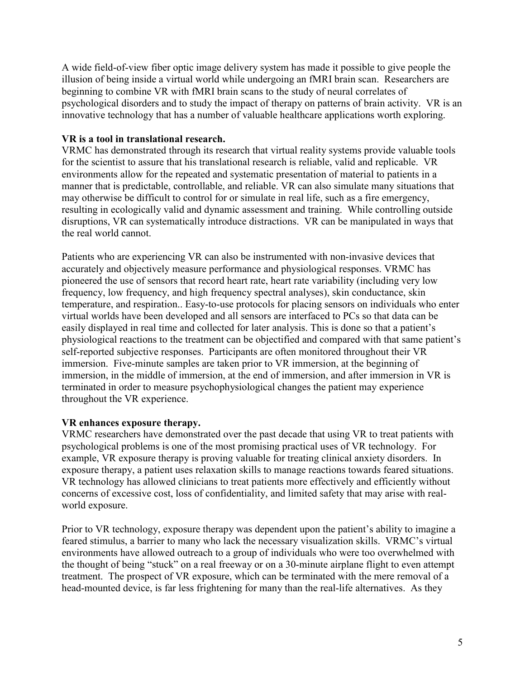A wide field-of-view fiber optic image delivery system has made it possible to give people the illusion of being inside a virtual world while undergoing an fMRI brain scan. Researchers are beginning to combine VR with fMRI brain scans to the study of neural correlates of psychological disorders and to study the impact of therapy on patterns of brain activity. VR is an innovative technology that has a number of valuable healthcare applications worth exploring.

#### VR is a tool in translational research.

VRMC has demonstrated through its research that virtual reality systems provide valuable tools for the scientist to assure that his translational research is reliable, valid and replicable. VR environments allow for the repeated and systematic presentation of material to patients in a manner that is predictable, controllable, and reliable. VR can also simulate many situations that may otherwise be difficult to control for or simulate in real life, such as a fire emergency, resulting in ecologically valid and dynamic assessment and training. While controlling outside disruptions, VR can systematically introduce distractions. VR can be manipulated in ways that the real world cannot.

Patients who are experiencing VR can also be instrumented with non-invasive devices that accurately and objectively measure performance and physiological responses. VRMC has pioneered the use of sensors that record heart rate, heart rate variability (including very low frequency, low frequency, and high frequency spectral analyses), skin conductance, skin temperature, and respiration.. Easy-to-use protocols for placing sensors on individuals who enter virtual worlds have been developed and all sensors are interfaced to PCs so that data can be easily displayed in real time and collected for later analysis. This is done so that a patient's physiological reactions to the treatment can be objectified and compared with that same patient's self-reported subjective responses. Participants are often monitored throughout their VR immersion. Five-minute samples are taken prior to VR immersion, at the beginning of immersion, in the middle of immersion, at the end of immersion, and after immersion in VR is terminated in order to measure psychophysiological changes the patient may experience throughout the VR experience.

## VR enhances exposure therapy.

VRMC researchers have demonstrated over the past decade that using VR to treat patients with psychological problems is one of the most promising practical uses of VR technology. For example, VR exposure therapy is proving valuable for treating clinical anxiety disorders. In exposure therapy, a patient uses relaxation skills to manage reactions towards feared situations. VR technology has allowed clinicians to treat patients more effectively and efficiently without concerns of excessive cost, loss of confidentiality, and limited safety that may arise with realworld exposure.

Prior to VR technology, exposure therapy was dependent upon the patient's ability to imagine a feared stimulus, a barrier to many who lack the necessary visualization skills. VRMC's virtual environments have allowed outreach to a group of individuals who were too overwhelmed with the thought of being "stuck" on a real freeway or on a 30-minute airplane flight to even attempt treatment. The prospect of VR exposure, which can be terminated with the mere removal of a head-mounted device, is far less frightening for many than the real-life alternatives. As they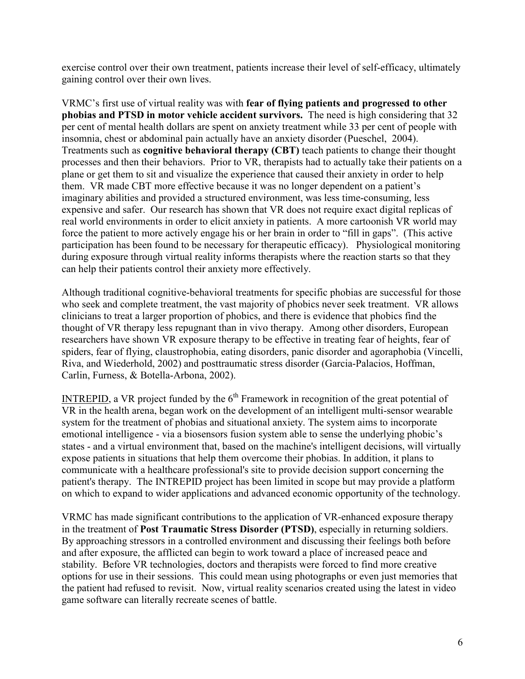exercise control over their own treatment, patients increase their level of self-efficacy, ultimately gaining control over their own lives.

VRMC's first use of virtual reality was with fear of flying patients and progressed to other phobias and PTSD in motor vehicle accident survivors. The need is high considering that 32 per cent of mental health dollars are spent on anxiety treatment while 33 per cent of people with insomnia, chest or abdominal pain actually have an anxiety disorder (Pueschel, 2004). Treatments such as cognitive behavioral therapy (CBT) teach patients to change their thought processes and then their behaviors. Prior to VR, therapists had to actually take their patients on a plane or get them to sit and visualize the experience that caused their anxiety in order to help them. VR made CBT more effective because it was no longer dependent on a patient's imaginary abilities and provided a structured environment, was less time-consuming, less expensive and safer. Our research has shown that VR does not require exact digital replicas of real world environments in order to elicit anxiety in patients. A more cartoonish VR world may force the patient to more actively engage his or her brain in order to "fill in gaps". (This active participation has been found to be necessary for therapeutic efficacy). Physiological monitoring during exposure through virtual reality informs therapists where the reaction starts so that they can help their patients control their anxiety more effectively.

Although traditional cognitive-behavioral treatments for specific phobias are successful for those who seek and complete treatment, the vast majority of phobics never seek treatment. VR allows clinicians to treat a larger proportion of phobics, and there is evidence that phobics find the thought of VR therapy less repugnant than in vivo therapy. Among other disorders, European researchers have shown VR exposure therapy to be effective in treating fear of heights, fear of spiders, fear of flying, claustrophobia, eating disorders, panic disorder and agoraphobia (Vincelli, Riva, and Wiederhold, 2002) and posttraumatic stress disorder (Garcia-Palacios, Hoffman, Carlin, Furness, & Botella-Arbona, 2002).

INTREPID, a VR project funded by the  $6<sup>th</sup>$  Framework in recognition of the great potential of VR in the health arena, began work on the development of an intelligent multi-sensor wearable system for the treatment of phobias and situational anxiety. The system aims to incorporate emotional intelligence - via a biosensors fusion system able to sense the underlying phobic's states - and a virtual environment that, based on the machine's intelligent decisions, will virtually expose patients in situations that help them overcome their phobias. In addition, it plans to communicate with a healthcare professional's site to provide decision support concerning the patient's therapy. The INTREPID project has been limited in scope but may provide a platform on which to expand to wider applications and advanced economic opportunity of the technology.

VRMC has made significant contributions to the application of VR-enhanced exposure therapy in the treatment of Post Traumatic Stress Disorder (PTSD), especially in returning soldiers. By approaching stressors in a controlled environment and discussing their feelings both before and after exposure, the afflicted can begin to work toward a place of increased peace and stability. Before VR technologies, doctors and therapists were forced to find more creative options for use in their sessions. This could mean using photographs or even just memories that the patient had refused to revisit. Now, virtual reality scenarios created using the latest in video game software can literally recreate scenes of battle.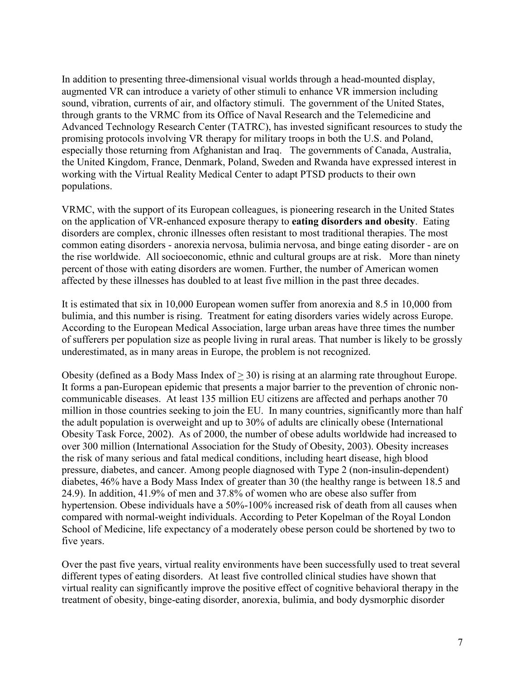In addition to presenting three-dimensional visual worlds through a head-mounted display, augmented VR can introduce a variety of other stimuli to enhance VR immersion including sound, vibration, currents of air, and olfactory stimuli. The government of the United States, through grants to the VRMC from its Office of Naval Research and the Telemedicine and Advanced Technology Research Center (TATRC), has invested significant resources to study the promising protocols involving VR therapy for military troops in both the U.S. and Poland, especially those returning from Afghanistan and Iraq. The governments of Canada, Australia, the United Kingdom, France, Denmark, Poland, Sweden and Rwanda have expressed interest in working with the Virtual Reality Medical Center to adapt PTSD products to their own populations.

VRMC, with the support of its European colleagues, is pioneering research in the United States on the application of VR-enhanced exposure therapy to eating disorders and obesity. Eating disorders are complex, chronic illnesses often resistant to most traditional therapies. The most common eating disorders - anorexia nervosa, bulimia nervosa, and binge eating disorder - are on the rise worldwide. All socioeconomic, ethnic and cultural groups are at risk. More than ninety percent of those with eating disorders are women. Further, the number of American women affected by these illnesses has doubled to at least five million in the past three decades.

It is estimated that six in 10,000 European women suffer from anorexia and 8.5 in 10,000 from bulimia, and this number is rising. Treatment for eating disorders varies widely across Europe. According to the European Medical Association, large urban areas have three times the number of sufferers per population size as people living in rural areas. That number is likely to be grossly underestimated, as in many areas in Europe, the problem is not recognized.

Obesity (defined as a Body Mass Index of  $>$  30) is rising at an alarming rate throughout Europe. It forms a pan-European epidemic that presents a major barrier to the prevention of chronic noncommunicable diseases. At least 135 million EU citizens are affected and perhaps another 70 million in those countries seeking to join the EU. In many countries, significantly more than half the adult population is overweight and up to 30% of adults are clinically obese (International Obesity Task Force, 2002). As of 2000, the number of obese adults worldwide had increased to over 300 million (International Association for the Study of Obesity, 2003). Obesity increases the risk of many serious and fatal medical conditions, including heart disease, high blood pressure, diabetes, and cancer. Among people diagnosed with Type 2 (non-insulin-dependent) diabetes, 46% have a Body Mass Index of greater than 30 (the healthy range is between 18.5 and 24.9). In addition, 41.9% of men and 37.8% of women who are obese also suffer from hypertension. Obese individuals have a 50%-100% increased risk of death from all causes when compared with normal-weight individuals. According to Peter Kopelman of the Royal London School of Medicine, life expectancy of a moderately obese person could be shortened by two to five years.

Over the past five years, virtual reality environments have been successfully used to treat several different types of eating disorders. At least five controlled clinical studies have shown that virtual reality can significantly improve the positive effect of cognitive behavioral therapy in the treatment of obesity, binge-eating disorder, anorexia, bulimia, and body dysmorphic disorder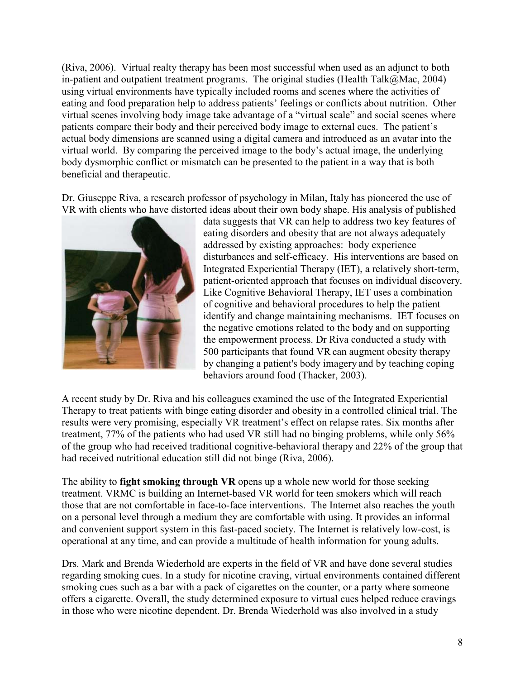(Riva, 2006). Virtual realty therapy has been most successful when used as an adjunct to both in-patient and outpatient treatment programs. The original studies (Health Talk@Mac, 2004) using virtual environments have typically included rooms and scenes where the activities of eating and food preparation help to address patients' feelings or conflicts about nutrition. Other virtual scenes involving body image take advantage of a "virtual scale" and social scenes where patients compare their body and their perceived body image to external cues. The patient's actual body dimensions are scanned using a digital camera and introduced as an avatar into the virtual world. By comparing the perceived image to the body's actual image, the underlying body dysmorphic conflict or mismatch can be presented to the patient in a way that is both beneficial and therapeutic.

Dr. Giuseppe Riva, a research professor of psychology in Milan, Italy has pioneered the use of VR with clients who have distorted ideas about their own body shape. His analysis of published



data suggests that VR can help to address two key features of eating disorders and obesity that are not always adequately addressed by existing approaches: body experience disturbances and self-efficacy. His interventions are based on Integrated Experiential Therapy (IET), a relatively short-term, patient-oriented approach that focuses on individual discovery. Like Cognitive Behavioral Therapy, IET uses a combination of cognitive and behavioral procedures to help the patient identify and change maintaining mechanisms. IET focuses on the negative emotions related to the body and on supporting the empowerment process. Dr Riva conducted a study with 500 participants that found VR can augment obesity therapy by changing a patient's body imagery and by teaching coping behaviors around food (Thacker, 2003).

A recent study by Dr. Riva and his colleagues examined the use of the Integrated Experiential Therapy to treat patients with binge eating disorder and obesity in a controlled clinical trial. The results were very promising, especially VR treatment's effect on relapse rates. Six months after treatment, 77% of the patients who had used VR still had no binging problems, while only 56% of the group who had received traditional cognitive-behavioral therapy and 22% of the group that had received nutritional education still did not binge (Riva, 2006).

The ability to **fight smoking through VR** opens up a whole new world for those seeking treatment. VRMC is building an Internet-based VR world for teen smokers which will reach those that are not comfortable in face-to-face interventions. The Internet also reaches the youth on a personal level through a medium they are comfortable with using. It provides an informal and convenient support system in this fast-paced society. The Internet is relatively low-cost, is operational at any time, and can provide a multitude of health information for young adults.

Drs. Mark and Brenda Wiederhold are experts in the field of VR and have done several studies regarding smoking cues. In a study for nicotine craving, virtual environments contained different smoking cues such as a bar with a pack of cigarettes on the counter, or a party where someone offers a cigarette. Overall, the study determined exposure to virtual cues helped reduce cravings in those who were nicotine dependent. Dr. Brenda Wiederhold was also involved in a study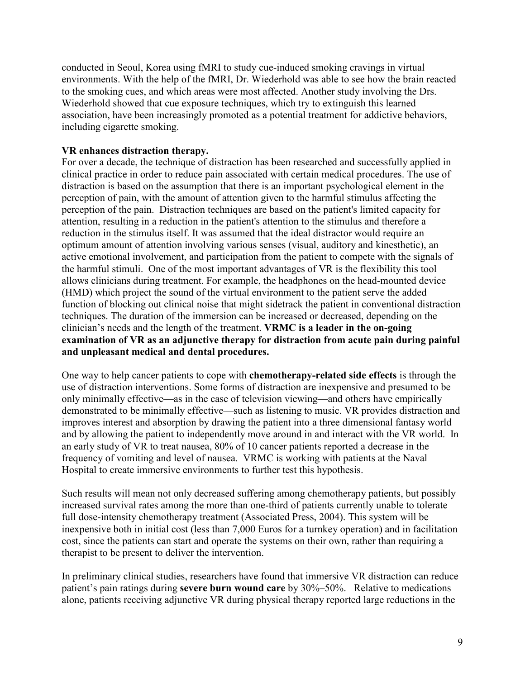conducted in Seoul, Korea using fMRI to study cue-induced smoking cravings in virtual environments. With the help of the fMRI, Dr. Wiederhold was able to see how the brain reacted to the smoking cues, and which areas were most affected. Another study involving the Drs. Wiederhold showed that cue exposure techniques, which try to extinguish this learned association, have been increasingly promoted as a potential treatment for addictive behaviors, including cigarette smoking.

#### VR enhances distraction therapy.

For over a decade, the technique of distraction has been researched and successfully applied in clinical practice in order to reduce pain associated with certain medical procedures. The use of distraction is based on the assumption that there is an important psychological element in the perception of pain, with the amount of attention given to the harmful stimulus affecting the perception of the pain. Distraction techniques are based on the patient's limited capacity for attention, resulting in a reduction in the patient's attention to the stimulus and therefore a reduction in the stimulus itself. It was assumed that the ideal distractor would require an optimum amount of attention involving various senses (visual, auditory and kinesthetic), an active emotional involvement, and participation from the patient to compete with the signals of the harmful stimuli. One of the most important advantages of VR is the flexibility this tool allows clinicians during treatment. For example, the headphones on the head-mounted device (HMD) which project the sound of the virtual environment to the patient serve the added function of blocking out clinical noise that might sidetrack the patient in conventional distraction techniques. The duration of the immersion can be increased or decreased, depending on the clinician's needs and the length of the treatment. VRMC is a leader in the on-going examination of VR as an adjunctive therapy for distraction from acute pain during painful and unpleasant medical and dental procedures.

One way to help cancer patients to cope with chemotherapy-related side effects is through the use of distraction interventions. Some forms of distraction are inexpensive and presumed to be only minimally effective—as in the case of television viewing—and others have empirically demonstrated to be minimally effective—such as listening to music. VR provides distraction and improves interest and absorption by drawing the patient into a three dimensional fantasy world and by allowing the patient to independently move around in and interact with the VR world. In an early study of VR to treat nausea, 80% of 10 cancer patients reported a decrease in the frequency of vomiting and level of nausea. VRMC is working with patients at the Naval Hospital to create immersive environments to further test this hypothesis.

Such results will mean not only decreased suffering among chemotherapy patients, but possibly increased survival rates among the more than one-third of patients currently unable to tolerate full dose-intensity chemotherapy treatment (Associated Press, 2004). This system will be inexpensive both in initial cost (less than 7,000 Euros for a turnkey operation) and in facilitation cost, since the patients can start and operate the systems on their own, rather than requiring a therapist to be present to deliver the intervention.

In preliminary clinical studies, researchers have found that immersive VR distraction can reduce patient's pain ratings during severe burn wound care by 30%–50%. Relative to medications alone, patients receiving adjunctive VR during physical therapy reported large reductions in the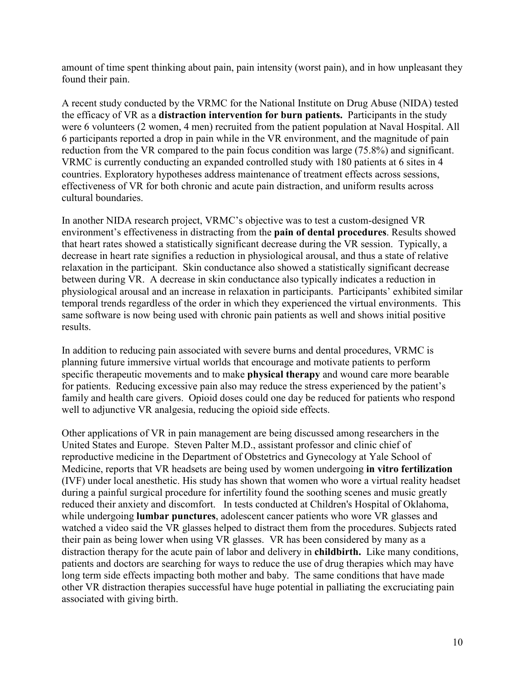amount of time spent thinking about pain, pain intensity (worst pain), and in how unpleasant they found their pain.

A recent study conducted by the VRMC for the National Institute on Drug Abuse (NIDA) tested the efficacy of VR as a distraction intervention for burn patients. Participants in the study were 6 volunteers (2 women, 4 men) recruited from the patient population at Naval Hospital. All 6 participants reported a drop in pain while in the VR environment, and the magnitude of pain reduction from the VR compared to the pain focus condition was large (75.8%) and significant. VRMC is currently conducting an expanded controlled study with 180 patients at 6 sites in 4 countries. Exploratory hypotheses address maintenance of treatment effects across sessions, effectiveness of VR for both chronic and acute pain distraction, and uniform results across cultural boundaries.

In another NIDA research project, VRMC's objective was to test a custom-designed VR environment's effectiveness in distracting from the pain of dental procedures. Results showed that heart rates showed a statistically significant decrease during the VR session. Typically, a decrease in heart rate signifies a reduction in physiological arousal, and thus a state of relative relaxation in the participant. Skin conductance also showed a statistically significant decrease between during VR. A decrease in skin conductance also typically indicates a reduction in physiological arousal and an increase in relaxation in participants. Participants' exhibited similar temporal trends regardless of the order in which they experienced the virtual environments. This same software is now being used with chronic pain patients as well and shows initial positive results.

In addition to reducing pain associated with severe burns and dental procedures, VRMC is planning future immersive virtual worlds that encourage and motivate patients to perform specific therapeutic movements and to make physical therapy and wound care more bearable for patients. Reducing excessive pain also may reduce the stress experienced by the patient's family and health care givers. Opioid doses could one day be reduced for patients who respond well to adjunctive VR analgesia, reducing the opioid side effects.

Other applications of VR in pain management are being discussed among researchers in the United States and Europe. Steven Palter M.D., assistant professor and clinic chief of reproductive medicine in the Department of Obstetrics and Gynecology at Yale School of Medicine, reports that VR headsets are being used by women undergoing in vitro fertilization (IVF) under local anesthetic. His study has shown that women who wore a virtual reality headset during a painful surgical procedure for infertility found the soothing scenes and music greatly reduced their anxiety and discomfort. In tests conducted at Children's Hospital of Oklahoma, while undergoing **lumbar punctures**, adolescent cancer patients who wore VR glasses and watched a video said the VR glasses helped to distract them from the procedures. Subjects rated their pain as being lower when using VR glasses. VR has been considered by many as a distraction therapy for the acute pain of labor and delivery in childbirth. Like many conditions, patients and doctors are searching for ways to reduce the use of drug therapies which may have long term side effects impacting both mother and baby. The same conditions that have made other VR distraction therapies successful have huge potential in palliating the excruciating pain associated with giving birth.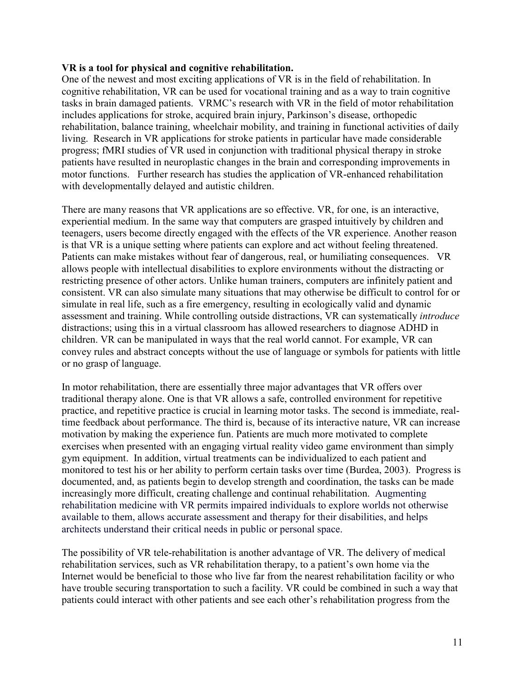#### VR is a tool for physical and cognitive rehabilitation.

One of the newest and most exciting applications of VR is in the field of rehabilitation. In cognitive rehabilitation, VR can be used for vocational training and as a way to train cognitive tasks in brain damaged patients. VRMC's research with VR in the field of motor rehabilitation includes applications for stroke, acquired brain injury, Parkinson's disease, orthopedic rehabilitation, balance training, wheelchair mobility, and training in functional activities of daily living. Research in VR applications for stroke patients in particular have made considerable progress; fMRI studies of VR used in conjunction with traditional physical therapy in stroke patients have resulted in neuroplastic changes in the brain and corresponding improvements in motor functions. Further research has studies the application of VR-enhanced rehabilitation with developmentally delayed and autistic children.

There are many reasons that VR applications are so effective. VR, for one, is an interactive, experiential medium. In the same way that computers are grasped intuitively by children and teenagers, users become directly engaged with the effects of the VR experience. Another reason is that VR is a unique setting where patients can explore and act without feeling threatened. Patients can make mistakes without fear of dangerous, real, or humiliating consequences. VR allows people with intellectual disabilities to explore environments without the distracting or restricting presence of other actors. Unlike human trainers, computers are infinitely patient and consistent. VR can also simulate many situations that may otherwise be difficult to control for or simulate in real life, such as a fire emergency, resulting in ecologically valid and dynamic assessment and training. While controlling outside distractions, VR can systematically introduce distractions; using this in a virtual classroom has allowed researchers to diagnose ADHD in children. VR can be manipulated in ways that the real world cannot. For example, VR can convey rules and abstract concepts without the use of language or symbols for patients with little or no grasp of language.

In motor rehabilitation, there are essentially three major advantages that VR offers over traditional therapy alone. One is that VR allows a safe, controlled environment for repetitive practice, and repetitive practice is crucial in learning motor tasks. The second is immediate, realtime feedback about performance. The third is, because of its interactive nature, VR can increase motivation by making the experience fun. Patients are much more motivated to complete exercises when presented with an engaging virtual reality video game environment than simply gym equipment. In addition, virtual treatments can be individualized to each patient and monitored to test his or her ability to perform certain tasks over time (Burdea, 2003). Progress is documented, and, as patients begin to develop strength and coordination, the tasks can be made increasingly more difficult, creating challenge and continual rehabilitation. Augmenting rehabilitation medicine with VR permits impaired individuals to explore worlds not otherwise available to them, allows accurate assessment and therapy for their disabilities, and helps architects understand their critical needs in public or personal space.

The possibility of VR tele-rehabilitation is another advantage of VR. The delivery of medical rehabilitation services, such as VR rehabilitation therapy, to a patient's own home via the Internet would be beneficial to those who live far from the nearest rehabilitation facility or who have trouble securing transportation to such a facility. VR could be combined in such a way that patients could interact with other patients and see each other's rehabilitation progress from the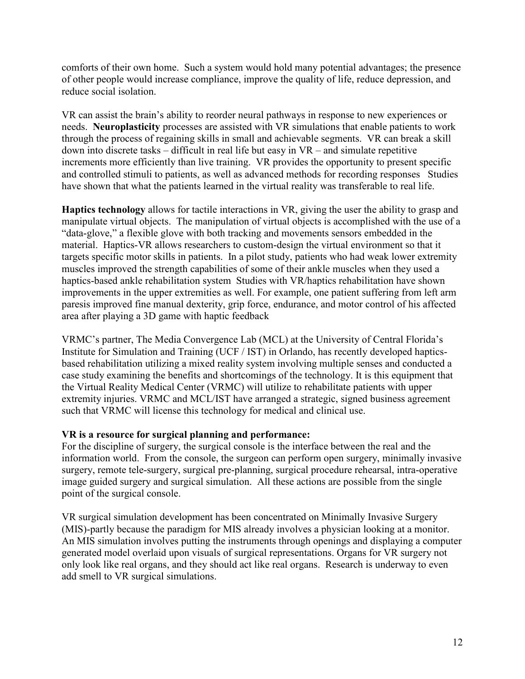comforts of their own home. Such a system would hold many potential advantages; the presence of other people would increase compliance, improve the quality of life, reduce depression, and reduce social isolation.

VR can assist the brain's ability to reorder neural pathways in response to new experiences or needs. Neuroplasticity processes are assisted with VR simulations that enable patients to work through the process of regaining skills in small and achievable segments. VR can break a skill down into discrete tasks – difficult in real life but easy in VR – and simulate repetitive increments more efficiently than live training. VR provides the opportunity to present specific and controlled stimuli to patients, as well as advanced methods for recording responses Studies have shown that what the patients learned in the virtual reality was transferable to real life.

Haptics technology allows for tactile interactions in VR, giving the user the ability to grasp and manipulate virtual objects. The manipulation of virtual objects is accomplished with the use of a "data-glove," a flexible glove with both tracking and movements sensors embedded in the material. Haptics-VR allows researchers to custom-design the virtual environment so that it targets specific motor skills in patients. In a pilot study, patients who had weak lower extremity muscles improved the strength capabilities of some of their ankle muscles when they used a haptics-based ankle rehabilitation system Studies with VR/haptics rehabilitation have shown improvements in the upper extremities as well. For example, one patient suffering from left arm paresis improved fine manual dexterity, grip force, endurance, and motor control of his affected area after playing a 3D game with haptic feedback

VRMC's partner, The Media Convergence Lab (MCL) at the University of Central Florida's Institute for Simulation and Training (UCF / IST) in Orlando, has recently developed hapticsbased rehabilitation utilizing a mixed reality system involving multiple senses and conducted a case study examining the benefits and shortcomings of the technology. It is this equipment that the Virtual Reality Medical Center (VRMC) will utilize to rehabilitate patients with upper extremity injuries. VRMC and MCL/IST have arranged a strategic, signed business agreement such that VRMC will license this technology for medical and clinical use.

## VR is a resource for surgical planning and performance:

For the discipline of surgery, the surgical console is the interface between the real and the information world. From the console, the surgeon can perform open surgery, minimally invasive surgery, remote tele-surgery, surgical pre-planning, surgical procedure rehearsal, intra-operative image guided surgery and surgical simulation. All these actions are possible from the single point of the surgical console.

VR surgical simulation development has been concentrated on Minimally Invasive Surgery (MIS)-partly because the paradigm for MIS already involves a physician looking at a monitor. An MIS simulation involves putting the instruments through openings and displaying a computer generated model overlaid upon visuals of surgical representations. Organs for VR surgery not only look like real organs, and they should act like real organs. Research is underway to even add smell to VR surgical simulations.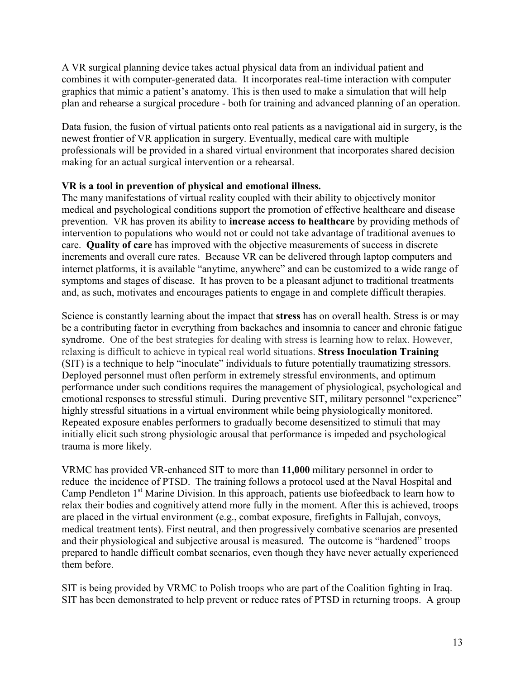A VR surgical planning device takes actual physical data from an individual patient and combines it with computer-generated data. It incorporates real-time interaction with computer graphics that mimic a patient's anatomy. This is then used to make a simulation that will help plan and rehearse a surgical procedure - both for training and advanced planning of an operation.

Data fusion, the fusion of virtual patients onto real patients as a navigational aid in surgery, is the newest frontier of VR application in surgery. Eventually, medical care with multiple professionals will be provided in a shared virtual environment that incorporates shared decision making for an actual surgical intervention or a rehearsal.

## VR is a tool in prevention of physical and emotional illness.

The many manifestations of virtual reality coupled with their ability to objectively monitor medical and psychological conditions support the promotion of effective healthcare and disease prevention. VR has proven its ability to increase access to healthcare by providing methods of intervention to populations who would not or could not take advantage of traditional avenues to care. Quality of care has improved with the objective measurements of success in discrete increments and overall cure rates. Because VR can be delivered through laptop computers and internet platforms, it is available "anytime, anywhere" and can be customized to a wide range of symptoms and stages of disease. It has proven to be a pleasant adjunct to traditional treatments and, as such, motivates and encourages patients to engage in and complete difficult therapies.

Science is constantly learning about the impact that stress has on overall health. Stress is or may be a contributing factor in everything from backaches and insomnia to cancer and chronic fatigue syndrome. One of the best strategies for dealing with stress is learning how to relax. However, relaxing is difficult to achieve in typical real world situations. Stress Inoculation Training (SIT) is a technique to help "inoculate" individuals to future potentially traumatizing stressors. Deployed personnel must often perform in extremely stressful environments, and optimum performance under such conditions requires the management of physiological, psychological and emotional responses to stressful stimuli. During preventive SIT, military personnel "experience" highly stressful situations in a virtual environment while being physiologically monitored. Repeated exposure enables performers to gradually become desensitized to stimuli that may initially elicit such strong physiologic arousal that performance is impeded and psychological trauma is more likely.

VRMC has provided VR-enhanced SIT to more than 11,000 military personnel in order to reduce the incidence of PTSD. The training follows a protocol used at the Naval Hospital and Camp Pendleton 1<sup>st</sup> Marine Division. In this approach, patients use biofeedback to learn how to relax their bodies and cognitively attend more fully in the moment. After this is achieved, troops are placed in the virtual environment (e.g., combat exposure, firefights in Fallujah, convoys, medical treatment tents). First neutral, and then progressively combative scenarios are presented and their physiological and subjective arousal is measured. The outcome is "hardened" troops prepared to handle difficult combat scenarios, even though they have never actually experienced them before.

SIT is being provided by VRMC to Polish troops who are part of the Coalition fighting in Iraq. SIT has been demonstrated to help prevent or reduce rates of PTSD in returning troops. A group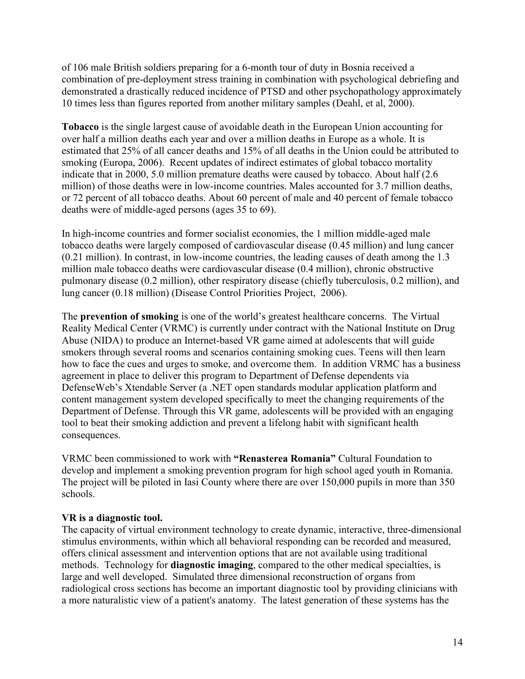of 106 male British soldiers preparing for a 6-month tour of duty in Bosnia received a combination of pre-deployment stress training in combination with psychological debriefing and demonstrated a drastically reduced incidence of PTSD and other psychopathology approximately 10 times less than figures reported from another military samples (Deahl, et al, 2000).

Tobacco is the single largest cause of avoidable death in the European Union accounting for over half a million deaths each year and over a million deaths in Europe as a whole. It is estimated that 25% of all cancer deaths and 15% of all deaths in the Union could be attributed to smoking (Europa, 2006). Recent updates of indirect estimates of global tobacco mortality indicate that in 2000, 5.0 million premature deaths were caused by tobacco. About half (2.6 million) of those deaths were in low-income countries. Males accounted for 3.7 million deaths, or 72 percent of all tobacco deaths. About 60 percent of male and 40 percent of female tobacco deaths were of middle-aged persons (ages 35 to 69).

In high-income countries and former socialist economies, the 1 million middle-aged male tobacco deaths were largely composed of cardiovascular disease (0.45 million) and lung cancer (0.21 million). In contrast, in low-income countries, the leading causes of death among the 1.3 million male tobacco deaths were cardiovascular disease (0.4 million), chronic obstructive pulmonary disease (0.2 million), other respiratory disease (chiefly tuberculosis, 0.2 million), and lung cancer (0.18 million) (Disease Control Priorities Project, 2006).

The prevention of smoking is one of the world's greatest healthcare concerns. The Virtual Reality Medical Center (VRMC) is currently under contract with the National Institute on Drug Abuse (NIDA) to produce an Internet-based VR game aimed at adolescents that will guide smokers through several rooms and scenarios containing smoking cues. Teens will then learn how to face the cues and urges to smoke, and overcome them. In addition VRMC has a business agreement in place to deliver this program to Department of Defense dependents via DefenseWeb's Xtendable Server (a .NET open standards modular application platform and content management system developed specifically to meet the changing requirements of the Department of Defense. Through this VR game, adolescents will be provided with an engaging tool to beat their smoking addiction and prevent a lifelong habit with significant health consequences.

VRMC been commissioned to work with "Renasterea Romania" Cultural Foundation to develop and implement a smoking prevention program for high school aged youth in Romania. The project will be piloted in Iasi County where there are over 150,000 pupils in more than 350 schools.

## VR is a diagnostic tool.

The capacity of virtual environment technology to create dynamic, interactive, three-dimensional stimulus environments, within which all behavioral responding can be recorded and measured, offers clinical assessment and intervention options that are not available using traditional methods. Technology for **diagnostic imaging**, compared to the other medical specialties, is large and well developed. Simulated three dimensional reconstruction of organs from radiological cross sections has become an important diagnostic tool by providing clinicians with a more naturalistic view of a patient's anatomy. The latest generation of these systems has the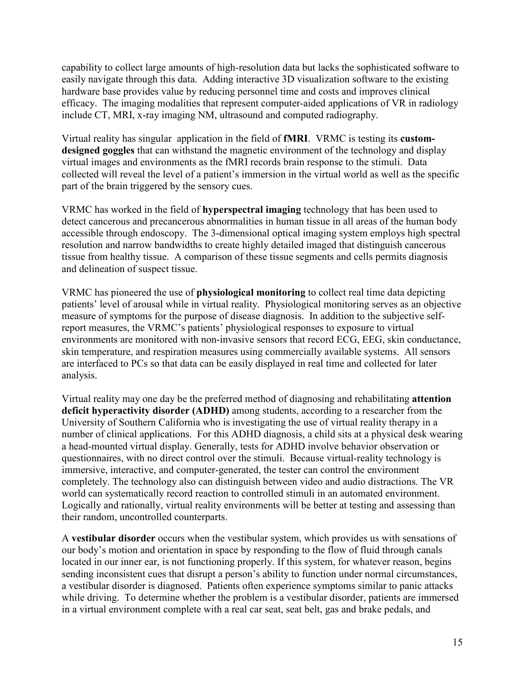capability to collect large amounts of high-resolution data but lacks the sophisticated software to easily navigate through this data. Adding interactive 3D visualization software to the existing hardware base provides value by reducing personnel time and costs and improves clinical efficacy. The imaging modalities that represent computer-aided applications of VR in radiology include CT, MRI, x-ray imaging NM, ultrasound and computed radiography.

Virtual reality has singular application in the field of fMRI. VRMC is testing its customdesigned goggles that can withstand the magnetic environment of the technology and display virtual images and environments as the fMRI records brain response to the stimuli. Data collected will reveal the level of a patient's immersion in the virtual world as well as the specific part of the brain triggered by the sensory cues.

VRMC has worked in the field of hyperspectral imaging technology that has been used to detect cancerous and precancerous abnormalities in human tissue in all areas of the human body accessible through endoscopy. The 3-dimensional optical imaging system employs high spectral resolution and narrow bandwidths to create highly detailed imaged that distinguish cancerous tissue from healthy tissue. A comparison of these tissue segments and cells permits diagnosis and delineation of suspect tissue.

VRMC has pioneered the use of physiological monitoring to collect real time data depicting patients' level of arousal while in virtual reality. Physiological monitoring serves as an objective measure of symptoms for the purpose of disease diagnosis. In addition to the subjective selfreport measures, the VRMC's patients' physiological responses to exposure to virtual environments are monitored with non-invasive sensors that record ECG, EEG, skin conductance, skin temperature, and respiration measures using commercially available systems. All sensors are interfaced to PCs so that data can be easily displayed in real time and collected for later analysis.

Virtual reality may one day be the preferred method of diagnosing and rehabilitating attention deficit hyperactivity disorder (ADHD) among students, according to a researcher from the University of Southern California who is investigating the use of virtual reality therapy in a number of clinical applications. For this ADHD diagnosis, a child sits at a physical desk wearing a head-mounted virtual display. Generally, tests for ADHD involve behavior observation or questionnaires, with no direct control over the stimuli. Because virtual-reality technology is immersive, interactive, and computer-generated, the tester can control the environment completely. The technology also can distinguish between video and audio distractions. The VR world can systematically record reaction to controlled stimuli in an automated environment. Logically and rationally, virtual reality environments will be better at testing and assessing than their random, uncontrolled counterparts.

A vestibular disorder occurs when the vestibular system, which provides us with sensations of our body's motion and orientation in space by responding to the flow of fluid through canals located in our inner ear, is not functioning properly. If this system, for whatever reason, begins sending inconsistent cues that disrupt a person's ability to function under normal circumstances, a vestibular disorder is diagnosed. Patients often experience symptoms similar to panic attacks while driving. To determine whether the problem is a vestibular disorder, patients are immersed in a virtual environment complete with a real car seat, seat belt, gas and brake pedals, and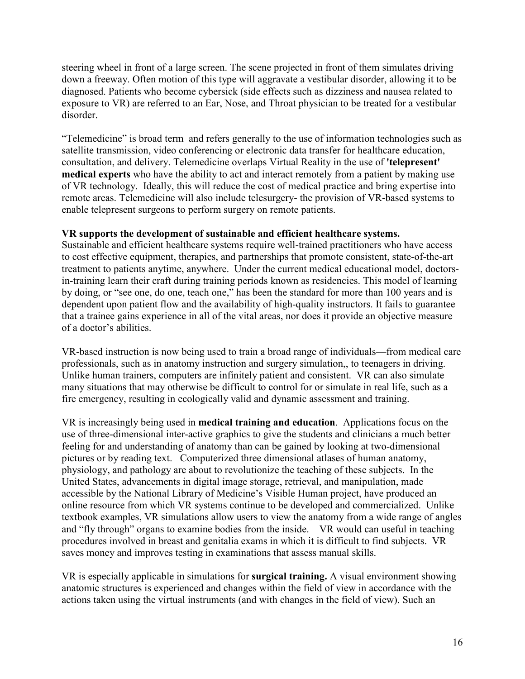steering wheel in front of a large screen. The scene projected in front of them simulates driving down a freeway. Often motion of this type will aggravate a vestibular disorder, allowing it to be diagnosed. Patients who become cybersick (side effects such as dizziness and nausea related to exposure to VR) are referred to an Ear, Nose, and Throat physician to be treated for a vestibular disorder.

"Telemedicine" is broad term and refers generally to the use of information technologies such as satellite transmission, video conferencing or electronic data transfer for healthcare education, consultation, and delivery. Telemedicine overlaps Virtual Reality in the use of 'telepresent' medical experts who have the ability to act and interact remotely from a patient by making use of VR technology. Ideally, this will reduce the cost of medical practice and bring expertise into remote areas. Telemedicine will also include telesurgery- the provision of VR-based systems to enable telepresent surgeons to perform surgery on remote patients.

## VR supports the development of sustainable and efficient healthcare systems.

Sustainable and efficient healthcare systems require well-trained practitioners who have access to cost effective equipment, therapies, and partnerships that promote consistent, state-of-the-art treatment to patients anytime, anywhere. Under the current medical educational model, doctorsin-training learn their craft during training periods known as residencies. This model of learning by doing, or "see one, do one, teach one," has been the standard for more than 100 years and is dependent upon patient flow and the availability of high-quality instructors. It fails to guarantee that a trainee gains experience in all of the vital areas, nor does it provide an objective measure of a doctor's abilities.

VR-based instruction is now being used to train a broad range of individuals—from medical care professionals, such as in anatomy instruction and surgery simulation,, to teenagers in driving. Unlike human trainers, computers are infinitely patient and consistent. VR can also simulate many situations that may otherwise be difficult to control for or simulate in real life, such as a fire emergency, resulting in ecologically valid and dynamic assessment and training.

VR is increasingly being used in medical training and education. Applications focus on the use of three-dimensional inter-active graphics to give the students and clinicians a much better feeling for and understanding of anatomy than can be gained by looking at two-dimensional pictures or by reading text. Computerized three dimensional atlases of human anatomy, physiology, and pathology are about to revolutionize the teaching of these subjects. In the United States, advancements in digital image storage, retrieval, and manipulation, made accessible by the National Library of Medicine's Visible Human project, have produced an online resource from which VR systems continue to be developed and commercialized. Unlike textbook examples, VR simulations allow users to view the anatomy from a wide range of angles and "fly through" organs to examine bodies from the inside. VR would can useful in teaching procedures involved in breast and genitalia exams in which it is difficult to find subjects. VR saves money and improves testing in examinations that assess manual skills.

VR is especially applicable in simulations for surgical training. A visual environment showing anatomic structures is experienced and changes within the field of view in accordance with the actions taken using the virtual instruments (and with changes in the field of view). Such an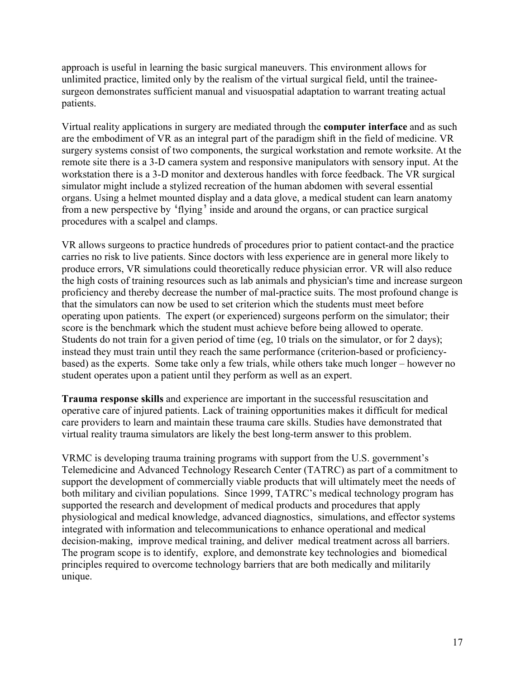approach is useful in learning the basic surgical maneuvers. This environment allows for unlimited practice, limited only by the realism of the virtual surgical field, until the traineesurgeon demonstrates sufficient manual and visuospatial adaptation to warrant treating actual patients.

Virtual reality applications in surgery are mediated through the computer interface and as such are the embodiment of VR as an integral part of the paradigm shift in the field of medicine. VR surgery systems consist of two components, the surgical workstation and remote worksite. At the remote site there is a 3-D camera system and responsive manipulators with sensory input. At the workstation there is a 3-D monitor and dexterous handles with force feedback. The VR surgical simulator might include a stylized recreation of the human abdomen with several essential organs. Using a helmet mounted display and a data glove, a medical student can learn anatomy from a new perspective by 'flying' inside and around the organs, or can practice surgical procedures with a scalpel and clamps.

VR allows surgeons to practice hundreds of procedures prior to patient contact-and the practice carries no risk to live patients. Since doctors with less experience are in general more likely to produce errors, VR simulations could theoretically reduce physician error. VR will also reduce the high costs of training resources such as lab animals and physician's time and increase surgeon proficiency and thereby decrease the number of mal-practice suits. The most profound change is that the simulators can now be used to set criterion which the students must meet before operating upon patients. The expert (or experienced) surgeons perform on the simulator; their score is the benchmark which the student must achieve before being allowed to operate. Students do not train for a given period of time (eg, 10 trials on the simulator, or for 2 days); instead they must train until they reach the same performance (criterion-based or proficiencybased) as the experts. Some take only a few trials, while others take much longer – however no student operates upon a patient until they perform as well as an expert.

Trauma response skills and experience are important in the successful resuscitation and operative care of injured patients. Lack of training opportunities makes it difficult for medical care providers to learn and maintain these trauma care skills. Studies have demonstrated that virtual reality trauma simulators are likely the best long-term answer to this problem.

VRMC is developing trauma training programs with support from the U.S. government's Telemedicine and Advanced Technology Research Center (TATRC) as part of a commitment to support the development of commercially viable products that will ultimately meet the needs of both military and civilian populations. Since 1999, TATRC's medical technology program has supported the research and development of medical products and procedures that apply physiological and medical knowledge, advanced diagnostics, simulations, and effector systems integrated with information and telecommunications to enhance operational and medical decision-making, improve medical training, and deliver medical treatment across all barriers. The program scope is to identify, explore, and demonstrate key technologies and biomedical principles required to overcome technology barriers that are both medically and militarily unique.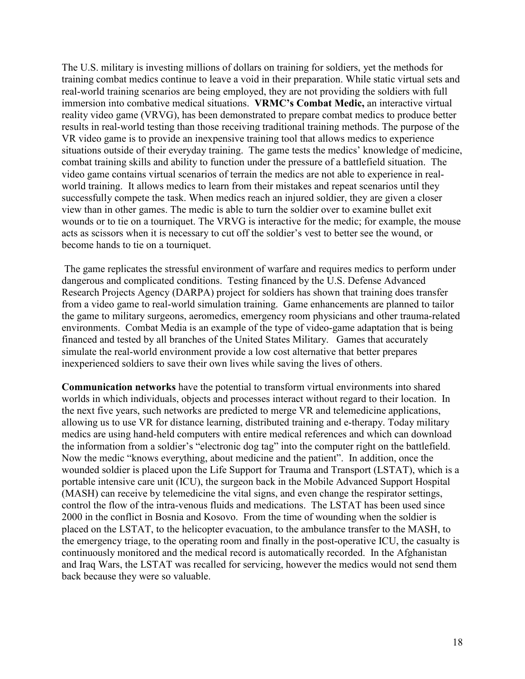The U.S. military is investing millions of dollars on training for soldiers, yet the methods for training combat medics continue to leave a void in their preparation. While static virtual sets and real-world training scenarios are being employed, they are not providing the soldiers with full immersion into combative medical situations. VRMC's Combat Medic, an interactive virtual reality video game (VRVG), has been demonstrated to prepare combat medics to produce better results in real-world testing than those receiving traditional training methods. The purpose of the VR video game is to provide an inexpensive training tool that allows medics to experience situations outside of their everyday training. The game tests the medics' knowledge of medicine, combat training skills and ability to function under the pressure of a battlefield situation. The video game contains virtual scenarios of terrain the medics are not able to experience in realworld training. It allows medics to learn from their mistakes and repeat scenarios until they successfully compete the task. When medics reach an injured soldier, they are given a closer view than in other games. The medic is able to turn the soldier over to examine bullet exit wounds or to tie on a tourniquet. The VRVG is interactive for the medic; for example, the mouse acts as scissors when it is necessary to cut off the soldier's vest to better see the wound, or become hands to tie on a tourniquet.

 The game replicates the stressful environment of warfare and requires medics to perform under dangerous and complicated conditions. Testing financed by the U.S. Defense Advanced Research Projects Agency (DARPA) project for soldiers has shown that training does transfer from a video game to real-world simulation training. Game enhancements are planned to tailor the game to military surgeons, aeromedics, emergency room physicians and other trauma-related environments. Combat Media is an example of the type of video-game adaptation that is being financed and tested by all branches of the United States Military. Games that accurately simulate the real-world environment provide a low cost alternative that better prepares inexperienced soldiers to save their own lives while saving the lives of others.

Communication networks have the potential to transform virtual environments into shared worlds in which individuals, objects and processes interact without regard to their location. In the next five years, such networks are predicted to merge VR and telemedicine applications, allowing us to use VR for distance learning, distributed training and e-therapy. Today military medics are using hand-held computers with entire medical references and which can download the information from a soldier's "electronic dog tag" into the computer right on the battlefield. Now the medic "knows everything, about medicine and the patient". In addition, once the wounded soldier is placed upon the Life Support for Trauma and Transport (LSTAT), which is a portable intensive care unit (ICU), the surgeon back in the Mobile Advanced Support Hospital (MASH) can receive by telemedicine the vital signs, and even change the respirator settings, control the flow of the intra-venous fluids and medications. The LSTAT has been used since 2000 in the conflict in Bosnia and Kosovo. From the time of wounding when the soldier is placed on the LSTAT, to the helicopter evacuation, to the ambulance transfer to the MASH, to the emergency triage, to the operating room and finally in the post-operative ICU, the casualty is continuously monitored and the medical record is automatically recorded. In the Afghanistan and Iraq Wars, the LSTAT was recalled for servicing, however the medics would not send them back because they were so valuable.